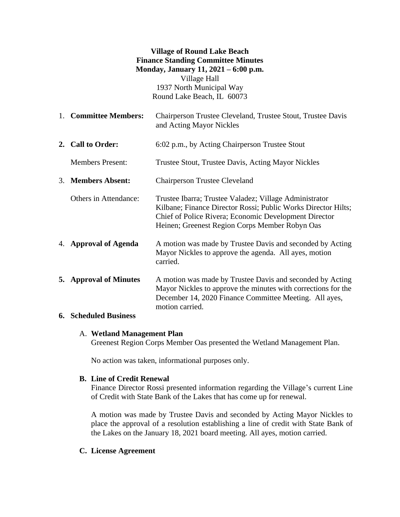### **Village of Round Lake Beach Finance Standing Committee Minutes Monday, January 11, 2021 – 6:00 p.m.** Village Hall 1937 North Municipal Way Round Lake Beach, IL 60073

1. **Committee Members:** Chairperson Trustee Cleveland, Trustee Stout, Trustee Davis and Acting Mayor Nickles

**2. Call to Order:** 6:02 p.m., by Acting Chairperson Trustee Stout

Members Present: Trustee Stout, Trustee Davis, Acting Mayor Nickles

- 3. **Members Absent:** Chairperson Trustee Cleveland
	- Others in Attendance: Trustee Ibarra; Trustee Valadez; Village Administrator Kilbane; Finance Director Rossi; Public Works Director Hilts; Chief of Police Rivera; Economic Development Director Heinen; Greenest Region Corps Member Robyn Oas
- 4. **Approval of Agenda** A motion was made by Trustee Davis and seconded by Acting Mayor Nickles to approve the agenda. All ayes, motion carried.
- **5. Approval of Minutes** A motion was made by Trustee Davis and seconded by Acting Mayor Nickles to approve the minutes with corrections for the December 14, 2020 Finance Committee Meeting. All ayes, motion carried.

# **6. Scheduled Business**

# A. **Wetland Management Plan**

Greenest Region Corps Member Oas presented the Wetland Management Plan.

No action was taken, informational purposes only.

# **B. Line of Credit Renewal**

Finance Director Rossi presented information regarding the Village's current Line of Credit with State Bank of the Lakes that has come up for renewal.

A motion was made by Trustee Davis and seconded by Acting Mayor Nickles to place the approval of a resolution establishing a line of credit with State Bank of the Lakes on the January 18, 2021 board meeting. All ayes, motion carried.

# **C. License Agreement**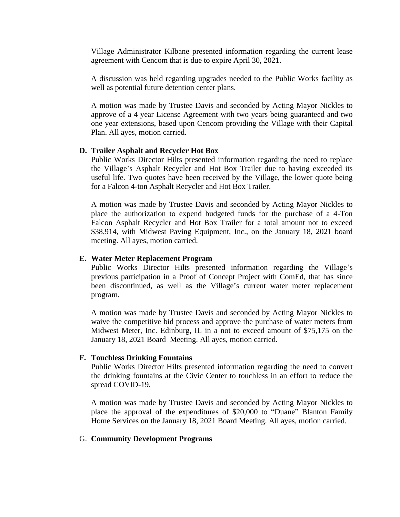Village Administrator Kilbane presented information regarding the current lease agreement with Cencom that is due to expire April 30, 2021.

A discussion was held regarding upgrades needed to the Public Works facility as well as potential future detention center plans.

A motion was made by Trustee Davis and seconded by Acting Mayor Nickles to approve of a 4 year License Agreement with two years being guaranteed and two one year extensions, based upon Cencom providing the Village with their Capital Plan. All ayes, motion carried.

### **D. Trailer Asphalt and Recycler Hot Box**

Public Works Director Hilts presented information regarding the need to replace the Village's Asphalt Recycler and Hot Box Trailer due to having exceeded its useful life. Two quotes have been received by the Village, the lower quote being for a Falcon 4-ton Asphalt Recycler and Hot Box Trailer.

A motion was made by Trustee Davis and seconded by Acting Mayor Nickles to place the authorization to expend budgeted funds for the purchase of a 4-Ton Falcon Asphalt Recycler and Hot Box Trailer for a total amount not to exceed \$38,914, with Midwest Paving Equipment, Inc., on the January 18, 2021 board meeting. All ayes, motion carried.

#### **E. Water Meter Replacement Program**

Public Works Director Hilts presented information regarding the Village's previous participation in a Proof of Concept Project with ComEd, that has since been discontinued, as well as the Village's current water meter replacement program.

A motion was made by Trustee Davis and seconded by Acting Mayor Nickles to waive the competitive bid process and approve the purchase of water meters from Midwest Meter, Inc. Edinburg, IL in a not to exceed amount of \$75,175 on the January 18, 2021 Board Meeting. All ayes, motion carried.

#### **F. Touchless Drinking Fountains**

Public Works Director Hilts presented information regarding the need to convert the drinking fountains at the Civic Center to touchless in an effort to reduce the spread COVID-19.

A motion was made by Trustee Davis and seconded by Acting Mayor Nickles to place the approval of the expenditures of \$20,000 to "Duane" Blanton Family Home Services on the January 18, 2021 Board Meeting. All ayes, motion carried.

#### G. **Community Development Programs**